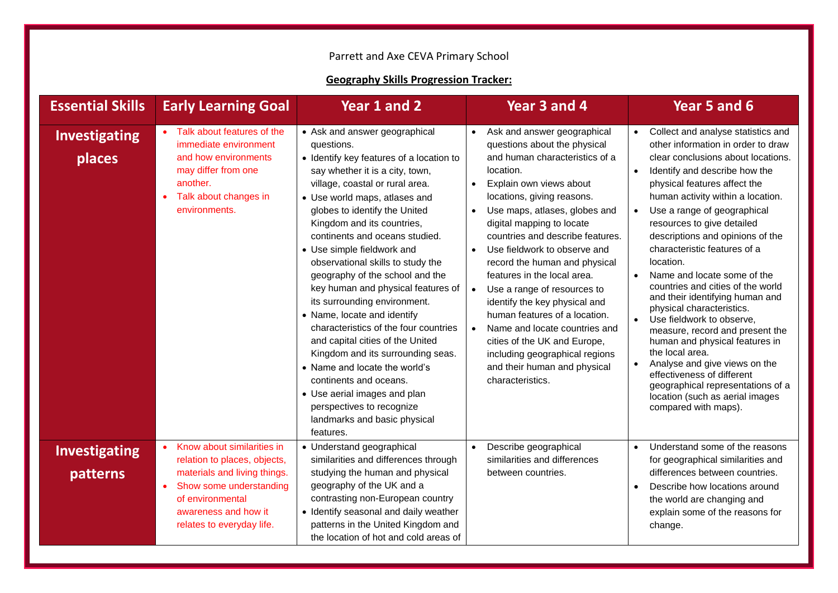## Parrett and Axe CEVA Primary School

## **Geography Skills Progression Tracker:**

| <b>Essential Skills</b>          | <b>Early Learning Goal</b>                                                                                                                                                                                               | Year 1 and 2                                                                                                                                                                                                                                                                                                                                                                                                                                                                                                                                                                                                                                                                                                                                                                                      | Year 3 and 4                                                                                                                                                                                                                                                                                                                                                                                                                                                                                                                                                                                                                                                                      | Year 5 and 6                                                                                                                                                                                                                                                                                                                                                                                                                                                                                                                                                                                                                                                                                                                                                                                                                      |
|----------------------------------|--------------------------------------------------------------------------------------------------------------------------------------------------------------------------------------------------------------------------|---------------------------------------------------------------------------------------------------------------------------------------------------------------------------------------------------------------------------------------------------------------------------------------------------------------------------------------------------------------------------------------------------------------------------------------------------------------------------------------------------------------------------------------------------------------------------------------------------------------------------------------------------------------------------------------------------------------------------------------------------------------------------------------------------|-----------------------------------------------------------------------------------------------------------------------------------------------------------------------------------------------------------------------------------------------------------------------------------------------------------------------------------------------------------------------------------------------------------------------------------------------------------------------------------------------------------------------------------------------------------------------------------------------------------------------------------------------------------------------------------|-----------------------------------------------------------------------------------------------------------------------------------------------------------------------------------------------------------------------------------------------------------------------------------------------------------------------------------------------------------------------------------------------------------------------------------------------------------------------------------------------------------------------------------------------------------------------------------------------------------------------------------------------------------------------------------------------------------------------------------------------------------------------------------------------------------------------------------|
| <b>Investigating</b><br>places   | Talk about features of the<br>immediate environment<br>and how environments<br>may differ from one<br>another.<br>Talk about changes in<br>$\bullet$<br>environments.                                                    | • Ask and answer geographical<br>questions.<br>• Identify key features of a location to<br>say whether it is a city, town,<br>village, coastal or rural area.<br>• Use world maps, atlases and<br>globes to identify the United<br>Kingdom and its countries,<br>continents and oceans studied.<br>• Use simple fieldwork and<br>observational skills to study the<br>geography of the school and the<br>key human and physical features of<br>its surrounding environment.<br>• Name, locate and identify<br>characteristics of the four countries<br>and capital cities of the United<br>Kingdom and its surrounding seas.<br>• Name and locate the world's<br>continents and oceans.<br>• Use aerial images and plan<br>perspectives to recognize<br>landmarks and basic physical<br>features. | Ask and answer geographical<br>questions about the physical<br>and human characteristics of a<br>location.<br>Explain own views about<br>locations, giving reasons.<br>Use maps, atlases, globes and<br>$\bullet$<br>digital mapping to locate<br>countries and describe features.<br>Use fieldwork to observe and<br>$\bullet$<br>record the human and physical<br>features in the local area.<br>Use a range of resources to<br>$\bullet$<br>identify the key physical and<br>human features of a location.<br>Name and locate countries and<br>$\bullet$<br>cities of the UK and Europe,<br>including geographical regions<br>and their human and physical<br>characteristics. | Collect and analyse statistics and<br>other information in order to draw<br>clear conclusions about locations.<br>Identify and describe how the<br>$\bullet$<br>physical features affect the<br>human activity within a location.<br>Use a range of geographical<br>$\bullet$<br>resources to give detailed<br>descriptions and opinions of the<br>characteristic features of a<br>location.<br>Name and locate some of the<br>countries and cities of the world<br>and their identifying human and<br>physical characteristics.<br>Use fieldwork to observe,<br>$\bullet$<br>measure, record and present the<br>human and physical features in<br>the local area.<br>Analyse and give views on the<br>effectiveness of different<br>geographical representations of a<br>location (such as aerial images<br>compared with maps). |
| <b>Investigating</b><br>patterns | Know about similarities in<br>$\bullet$<br>relation to places, objects,<br>materials and living things.<br>Show some understanding<br>$\bullet$<br>of environmental<br>awareness and how it<br>relates to everyday life. | • Understand geographical<br>similarities and differences through<br>studying the human and physical<br>geography of the UK and a<br>contrasting non-European country<br>• Identify seasonal and daily weather<br>patterns in the United Kingdom and<br>the location of hot and cold areas of                                                                                                                                                                                                                                                                                                                                                                                                                                                                                                     | Describe geographical<br>$\bullet$<br>similarities and differences<br>between countries.                                                                                                                                                                                                                                                                                                                                                                                                                                                                                                                                                                                          | Understand some of the reasons<br>$\bullet$<br>for geographical similarities and<br>differences between countries.<br>Describe how locations around<br>$\bullet$<br>the world are changing and<br>explain some of the reasons for<br>change.                                                                                                                                                                                                                                                                                                                                                                                                                                                                                                                                                                                      |